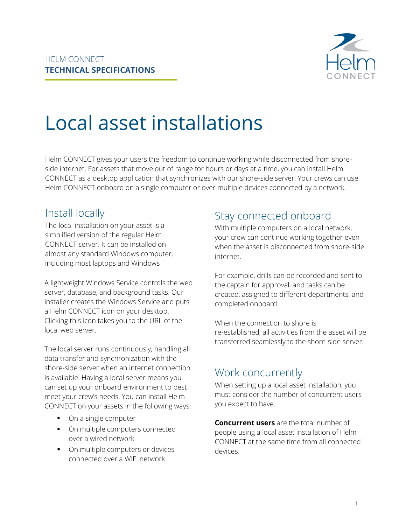

# Local asset installations

Helm CONNECT gives your users the freedom to continue working while disconnected from shoreside internet. For assets that move out of range for hours or days at a time, you can install Helm CONNECT as a desktop application that synchronizes with our shore-side server. Your crews can use Helm CONNECT onboard on a single computer or over multiple devices connected by a network.

# Install locally

The local installation on your asset is a simplified version of the regular Helm CONNECT server. It can be installed on almost any standard Windows computer, including most laptops and Windows

A lightweight Windows Service controls the web server, database, and background tasks. Our installer creates the Windows Service and puts a Helm CONNECT icon on your desktop. Clicking this icon takes you to the URL of the local web server.

The local server runs continuously, handling all data transfer and synchronization with the shore-side server when an internet connection is available. Having a local server means you can set up your onboard environment to best meet your crew's needs. You can install Helm CONNECT on your assets in the following ways:

- On a single computer
- On multiple computers connected over a wired network
- On multiple computers or devices connected over a WIFI network

# Stay connected onboard

With multiple computers on a local network, your crew can continue working together even when the asset is disconnected from shore-side internet.

For example, drills can be recorded and sent to the captain for approval, and tasks can be created, assigned to different departments, and completed onboard.

When the connection to shore is re-established, all activities from the asset will be transferred seamlessly to the shore-side server.

# Work concurrently

When setting up a local asset installation, you must consider the number of concurrent users you expect to have.

**Concurrent users** are the total number of people using a local asset installation of Helm CONNECT at the same time from all connected devices.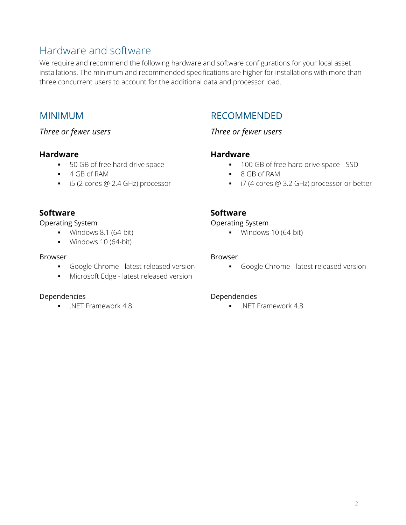# Hardware and software

We require and recommend the following hardware and software configurations for your local asset installations. The minimum and recommended specifications are higher for installations with more than three concurrent users to account for the additional data and processor load.

## MINIMUM

*Three or fewer users*

## **Hardware**

- 50 GB of free hard drive space
- 4 GB of RAM
- i5 (2 cores @ 2.4 GHz) processor

## RECOMMENDED

## *Three or fewer users*

## **Hardware**

- 100 GB of free hard drive space SSD
- 8 GB of RAM
- i7 (4 cores @ 3.2 GHz) processor or better

## **Software**

#### Operating System

- $\blacksquare$  Windows 8.1 (64-bit)
- **•** Windows 10 (64-bit)

#### Browser

- **•** Google Chrome latest released version
- **■** Microsoft Edge latest released version

## Dependencies

▪ .NET Framework 4.8

## **Software**

## Operating System

■ Windows 10 (64-bit)

#### Browser

**•** Google Chrome - latest released version

#### Dependencies

▪ .NET Framework 4.8